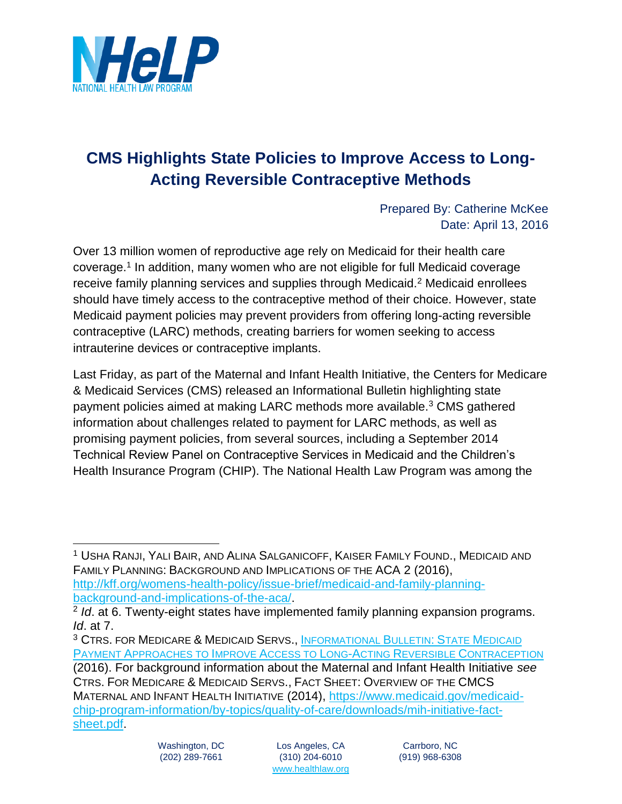

## **CMS Highlights State Policies to Improve Access to Long-Acting Reversible Contraceptive Methods**

Prepared By: Catherine McKee Date: April 13, 2016

Over 13 million women of reproductive age rely on Medicaid for their health care coverage.<sup>1</sup> In addition, many women who are not eligible for full Medicaid coverage receive family planning services and supplies through Medicaid.<sup>2</sup> Medicaid enrollees should have timely access to the contraceptive method of their choice. However, state Medicaid payment policies may prevent providers from offering long-acting reversible contraceptive (LARC) methods, creating barriers for women seeking to access intrauterine devices or contraceptive implants.

Last Friday, as part of the Maternal and Infant Health Initiative, the Centers for Medicare & Medicaid Services (CMS) released an Informational Bulletin highlighting state payment policies aimed at making LARC methods more available.<sup>3</sup> CMS gathered information about challenges related to payment for LARC methods, as well as promising payment policies, from several sources, including a September 2014 Technical Review Panel on Contraceptive Services in Medicaid and the Children's Health Insurance Program (CHIP). The National Health Law Program was among the

<sup>1</sup> USHA RANJI, YALI BAIR, AND ALINA SALGANICOFF, KAISER FAMILY FOUND., MEDICAID AND FAMILY PLANNING: BACKGROUND AND IMPLICATIONS OF THE ACA 2 (2016), [http://kff.org/womens-health-policy/issue-brief/medicaid-and-family-planning](http://kff.org/womens-health-policy/issue-brief/medicaid-and-family-planning-background-and-implications-of-the-aca/)[background-and-implications-of-the-aca/.](http://kff.org/womens-health-policy/issue-brief/medicaid-and-family-planning-background-and-implications-of-the-aca/)

<sup>2</sup> *Id*. at 6. Twenty-eight states have implemented family planning expansion programs. *Id*. at 7.

<sup>3</sup> CTRS. FOR MEDICARE & MEDICAID SERVS., I[NFORMATIONAL](https://www.medicaid.gov/federal-policy-guidance/downloads/CIB040816.pdf) BULLETIN: STATE MEDICAID PAYMENT A[PPROACHES TO](https://www.medicaid.gov/federal-policy-guidance/downloads/CIB040816.pdf) IMPROVE ACCESS TO LONG-ACTING REVERSIBLE CONTRACEPTION (2016). For background information about the Maternal and Infant Health Initiative *see*

CTRS. FOR MEDICARE & MEDICAID SERVS., FACT SHEET: OVERVIEW OF THE CMCS MATERNAL AND INFANT HEALTH INITIATIVE (2014), [https://www.medicaid.gov/medicaid](https://www.medicaid.gov/medicaid-chip-program-information/by-topics/quality-of-care/downloads/mih-initiative-fact-sheet.pdf)[chip-program-information/by-topics/quality-of-care/downloads/mih-initiative-fact](https://www.medicaid.gov/medicaid-chip-program-information/by-topics/quality-of-care/downloads/mih-initiative-fact-sheet.pdf)[sheet.pdf.](https://www.medicaid.gov/medicaid-chip-program-information/by-topics/quality-of-care/downloads/mih-initiative-fact-sheet.pdf)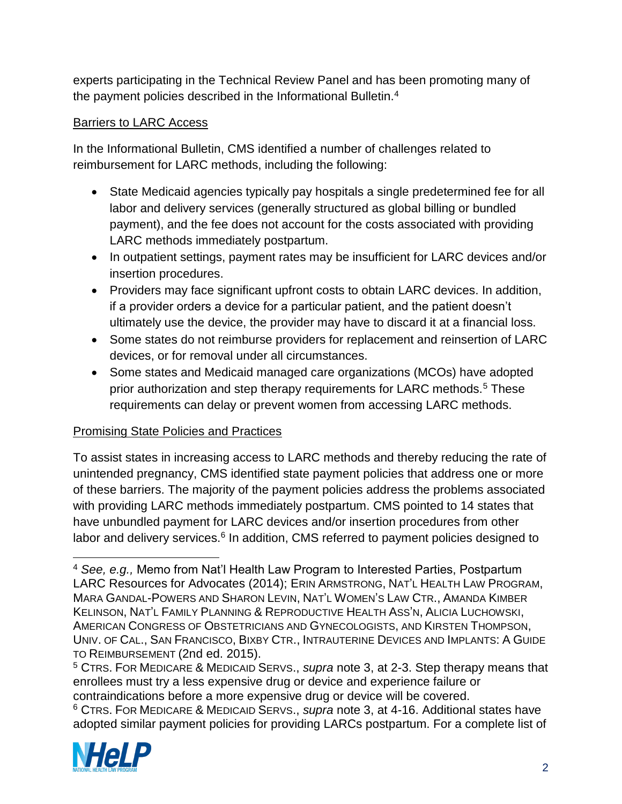experts participating in the Technical Review Panel and has been promoting many of the payment policies described in the Informational Bulletin.<sup>4</sup>

## Barriers to LARC Access

In the Informational Bulletin, CMS identified a number of challenges related to reimbursement for LARC methods, including the following:

- State Medicaid agencies typically pay hospitals a single predetermined fee for all labor and delivery services (generally structured as global billing or bundled payment), and the fee does not account for the costs associated with providing LARC methods immediately postpartum.
- In outpatient settings, payment rates may be insufficient for LARC devices and/or insertion procedures.
- Providers may face significant upfront costs to obtain LARC devices. In addition, if a provider orders a device for a particular patient, and the patient doesn't ultimately use the device, the provider may have to discard it at a financial loss.
- Some states do not reimburse providers for replacement and reinsertion of LARC devices, or for removal under all circumstances.
- Some states and Medicaid managed care organizations (MCOs) have adopted prior authorization and step therapy requirements for LARC methods.<sup>5</sup> These requirements can delay or prevent women from accessing LARC methods.

## Promising State Policies and Practices

To assist states in increasing access to LARC methods and thereby reducing the rate of unintended pregnancy, CMS identified state payment policies that address one or more of these barriers. The majority of the payment policies address the problems associated with providing LARC methods immediately postpartum. CMS pointed to 14 states that have unbundled payment for LARC devices and/or insertion procedures from other labor and delivery services.<sup>6</sup> In addition, CMS referred to payment policies designed to

<sup>6</sup> CTRS. FOR MEDICARE & MEDICAID SERVS., *supra* note 3, at 4-16. Additional states have adopted similar payment policies for providing LARCs postpartum. For a complete list of



 $\overline{a}$ 

<sup>4</sup> *See, e.g.,* Memo from Nat'l Health Law Program to Interested Parties, Postpartum LARC Resources for Advocates (2014); ERIN ARMSTRONG, NAT'L HEALTH LAW PROGRAM, MARA GANDAL-POWERS AND SHARON LEVIN, NAT'L WOMEN'S LAW CTR., AMANDA KIMBER KELINSON, NAT'L FAMILY PLANNING & REPRODUCTIVE HEALTH ASS'N, ALICIA LUCHOWSKI, AMERICAN CONGRESS OF OBSTETRICIANS AND GYNECOLOGISTS, AND KIRSTEN THOMPSON, UNIV. OF CAL., SAN FRANCISCO, BIXBY CTR., INTRAUTERINE DEVICES AND IMPLANTS: A GUIDE TO REIMBURSEMENT (2nd ed. 2015).

<sup>5</sup> CTRS. FOR MEDICARE & MEDICAID SERVS., *supra* note 3, at 2-3. Step therapy means that enrollees must try a less expensive drug or device and experience failure or contraindications before a more expensive drug or device will be covered.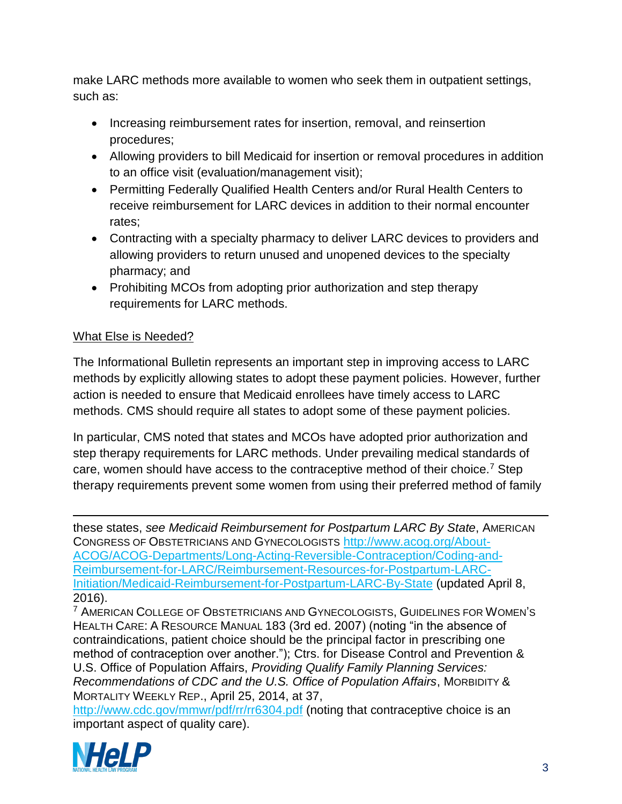make LARC methods more available to women who seek them in outpatient settings, such as:

- Increasing reimbursement rates for insertion, removal, and reinsertion procedures;
- Allowing providers to bill Medicaid for insertion or removal procedures in addition to an office visit (evaluation/management visit);
- Permitting Federally Qualified Health Centers and/or Rural Health Centers to receive reimbursement for LARC devices in addition to their normal encounter rates;
- Contracting with a specialty pharmacy to deliver LARC devices to providers and allowing providers to return unused and unopened devices to the specialty pharmacy; and
- Prohibiting MCOs from adopting prior authorization and step therapy requirements for LARC methods.

## What Else is Needed?

The Informational Bulletin represents an important step in improving access to LARC methods by explicitly allowing states to adopt these payment policies. However, further action is needed to ensure that Medicaid enrollees have timely access to LARC methods. CMS should require all states to adopt some of these payment policies.

In particular, CMS noted that states and MCOs have adopted prior authorization and step therapy requirements for LARC methods. Under prevailing medical standards of care, women should have access to the contraceptive method of their choice.<sup>7</sup> Step therapy requirements prevent some women from using their preferred method of family

 $\overline{a}$ these states, *see Medicaid Reimbursement for Postpartum LARC By State*, AMERICAN CONGRESS OF OBSTETRICIANS AND GYNECOLOGISTS [http://www.acog.org/About-](http://www.acog.org/About-ACOG/ACOG-Departments/Long-Acting-Reversible-Contraception/Coding-and-Reimbursement-for-LARC/Reimbursement-Resources-for-Postpartum-LARC-Initiation/Medicaid-Reimbursement-for-Postpartum-LARC-By-State)[ACOG/ACOG-Departments/Long-Acting-Reversible-Contraception/Coding-and-](http://www.acog.org/About-ACOG/ACOG-Departments/Long-Acting-Reversible-Contraception/Coding-and-Reimbursement-for-LARC/Reimbursement-Resources-for-Postpartum-LARC-Initiation/Medicaid-Reimbursement-for-Postpartum-LARC-By-State)[Reimbursement-for-LARC/Reimbursement-Resources-for-Postpartum-LARC-](http://www.acog.org/About-ACOG/ACOG-Departments/Long-Acting-Reversible-Contraception/Coding-and-Reimbursement-for-LARC/Reimbursement-Resources-for-Postpartum-LARC-Initiation/Medicaid-Reimbursement-for-Postpartum-LARC-By-State)[Initiation/Medicaid-Reimbursement-for-Postpartum-LARC-By-State](http://www.acog.org/About-ACOG/ACOG-Departments/Long-Acting-Reversible-Contraception/Coding-and-Reimbursement-for-LARC/Reimbursement-Resources-for-Postpartum-LARC-Initiation/Medicaid-Reimbursement-for-Postpartum-LARC-By-State) (updated April 8, 2016).

<sup>7</sup> AMERICAN COLLEGE OF OBSTETRICIANS AND GYNECOLOGISTS, GUIDELINES FOR WOMEN'S HEALTH CARE: A RESOURCE MANUAL 183 (3rd ed. 2007) (noting "in the absence of contraindications, patient choice should be the principal factor in prescribing one method of contraception over another."); Ctrs. for Disease Control and Prevention & U.S. Office of Population Affairs, *Providing Qualify Family Planning Services: Recommendations of CDC and the U.S. Office of Population Affairs*, MORBIDITY & MORTALITY WEEKLY REP., April 25, 2014, at 37,

<http://www.cdc.gov/mmwr/pdf/rr/rr6304.pdf> (noting that contraceptive choice is an important aspect of quality care).